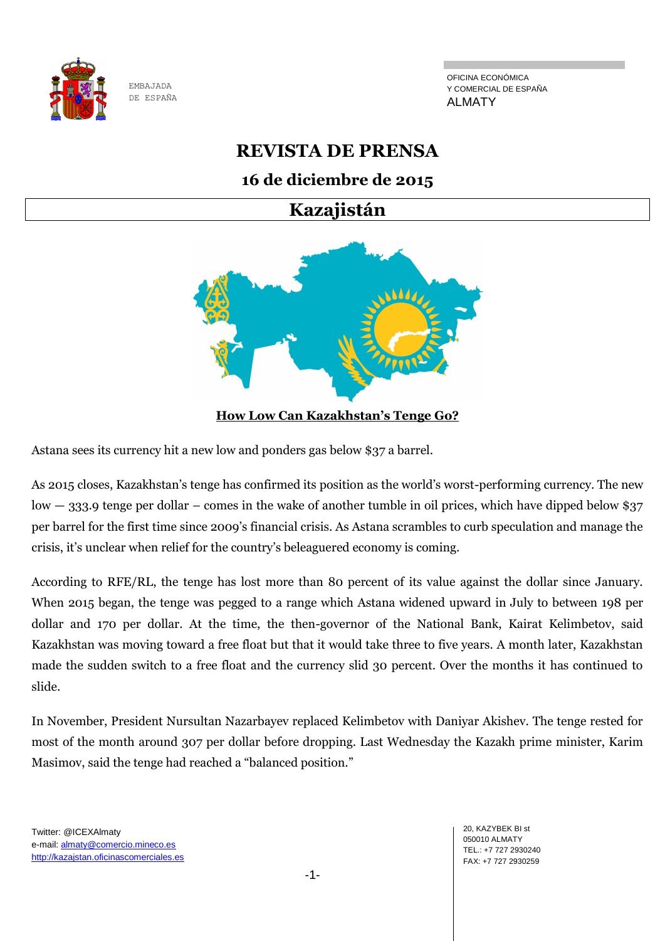

OFICINA ECONÓMICA Y COMERCIAL DE ESPAÑA ALMATY

# **REVISTA DE PRENSA**

## **16 de diciembre de 2015**

**Kazajistán**



Astana sees its currency hit a new low and ponders gas below \$37 a barrel.

As 2015 closes, Kazakhstan's tenge has confirmed its position as the world's worst-performing currency. The new low — 333.9 tenge per dollar – comes in the wake of another tumble in oil prices, which have dipped below \$37 per barrel for the first time since 2009's financial crisis. As Astana scrambles to curb speculation and manage the crisis, it's unclear when relief for the country's beleaguered economy is coming.

According to RFE/RL, the tenge has lost more than 80 percent of its value against the dollar since January. When 2015 began, the tenge was pegged to a range which Astana widened upward in July to between 198 per dollar and 170 per dollar. At the time, the then-governor of the National Bank, Kairat Kelimbetov, said Kazakhstan was moving toward a free float but that it would take three to five years. A month later, Kazakhstan made the sudden switch to a free float and the currency slid 30 percent. Over the months it has continued to slide.

In November, President Nursultan Nazarbayev replaced Kelimbetov with Daniyar Akishev. The tenge rested for most of the month around 307 per dollar before dropping. Last Wednesday the Kazakh prime minister, Karim Masimov, said the tenge had reached a "balanced position."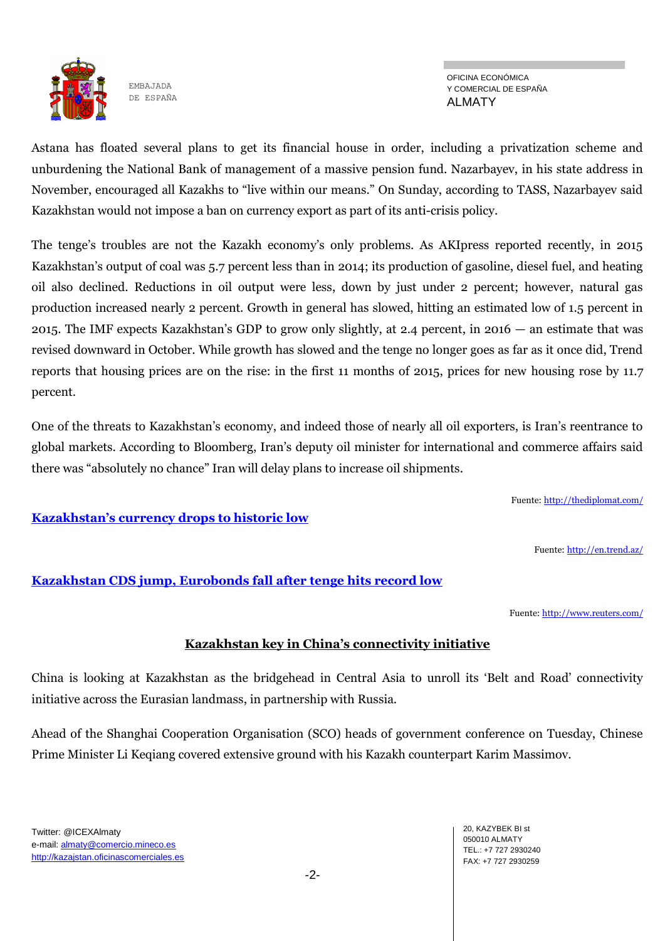

OFICINA ECONÓMICA Y COMERCIAL DE ESPAÑA ALMATY

Astana has floated several plans to get its financial house in order, including a privatization scheme and unburdening the National Bank of management of a massive pension fund. Nazarbayev, in his state address in November, encouraged all Kazakhs to "live within our means." On Sunday, according to TASS, Nazarbayev said Kazakhstan would not impose a ban on currency export as part of its anti-crisis policy.

The tenge's troubles are not the Kazakh economy's only problems. As AKIpress reported recently, in 2015 Kazakhstan's output of coal was 5.7 percent less than in 2014; its production of gasoline, diesel fuel, and heating oil also declined. Reductions in oil output were less, down by just under 2 percent; however, natural gas production increased nearly 2 percent. Growth in general has slowed, hitting an estimated low of 1.5 percent in 2015. The IMF expects Kazakhstan's GDP to grow only slightly, at 2.4 percent, in 2016 — an estimate that was revised downward in October. While growth has slowed and the tenge no longer goes as far as it once did, Trend reports that housing prices are on the rise: in the first 11 months of 2015, prices for new housing rose by 11.7 percent.

One of the threats to Kazakhstan's economy, and indeed those of nearly all oil exporters, is Iran's reentrance to global markets. According to Bloomberg, Iran's deputy oil minister for international and commerce affairs said there was "absolutely no chance" Iran will delay plans to increase oil shipments.

Fuente: <http://thediplomat.com/>

## **[Kazakhstan's currency drops to histor](http://en.trend.az/business/economy/2469596.html)ic low**

Fuente: <http://en.trend.az/>

## **[Kazakhstan CDS jump, Eurobonds fall after tenge hits record low](http://www.reuters.com/article/kazakhstan-cds-idUSL9N0Z502120151214)**

Fuente: <http://www.reuters.com/>

## **Kazakhstan key in China's connectivity initiative**

China is looking at Kazakhstan as the bridgehead in Central Asia to unroll its 'Belt and Road' connectivity initiative across the Eurasian landmass, in partnership with Russia.

Ahead of the Shanghai Cooperation Organisation (SCO) heads of government conference on Tuesday, Chinese Prime Minister Li Keqiang covered extensive ground with his Kazakh counterpart Karim Massimov.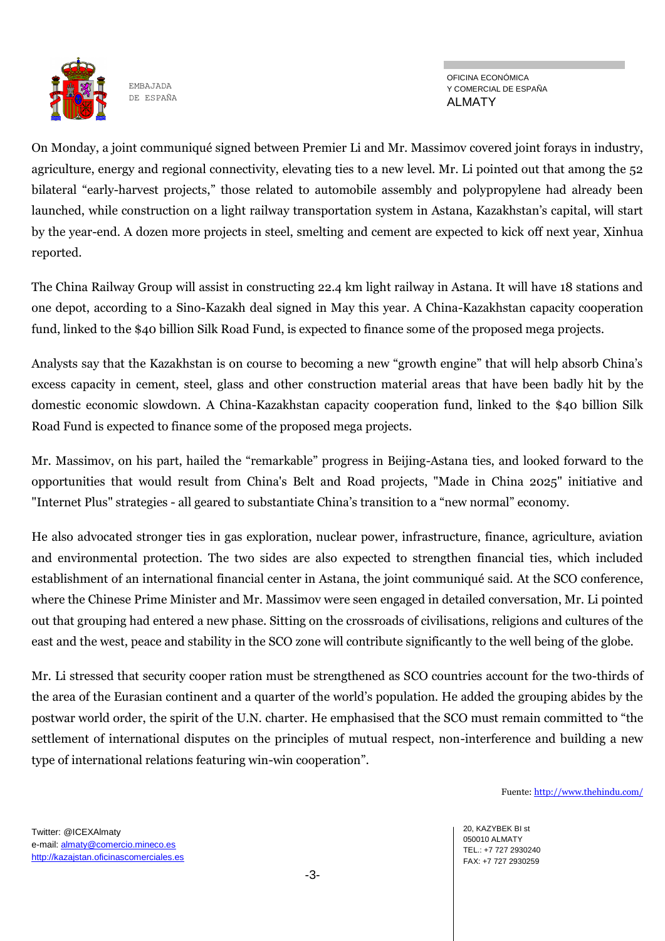

OFICINA ECONÓMICA Y COMERCIAL DE ESPAÑA ALMATY

On Monday, a joint communiqué signed between Premier Li and Mr. Massimov covered joint forays in industry, agriculture, energy and regional connectivity, elevating ties to a new level. Mr. Li pointed out that among the 52 bilateral "early-harvest projects," those related to automobile assembly and polypropylene had already been launched, while construction on a light railway transportation system in Astana, Kazakhstan's capital, will start by the year-end. A dozen more projects in steel, smelting and cement are expected to kick off next year, Xinhua reported.

The China Railway Group will assist in constructing 22.4 km light railway in Astana. It will have 18 stations and one depot, according to a Sino-Kazakh deal signed in May this year. A China-Kazakhstan capacity cooperation fund, linked to the \$40 billion Silk Road Fund, is expected to finance some of the proposed mega projects.

Analysts say that the Kazakhstan is on course to becoming a new "growth engine" that will help absorb China's excess capacity in cement, steel, glass and other construction material areas that have been badly hit by the domestic economic slowdown. A China-Kazakhstan capacity cooperation fund, linked to the \$40 billion Silk Road Fund is expected to finance some of the proposed mega projects.

Mr. Massimov, on his part, hailed the "remarkable" progress in Beijing-Astana ties, and looked forward to the opportunities that would result from China's Belt and Road projects, "Made in China 2025" initiative and "Internet Plus" strategies - all geared to substantiate China's transition to a "new normal" economy.

He also advocated stronger ties in gas exploration, nuclear power, infrastructure, finance, agriculture, aviation and environmental protection. The two sides are also expected to strengthen financial ties, which included establishment of an international financial center in Astana, the joint communiqué said. At the SCO conference, where the Chinese Prime Minister and Mr. Massimov were seen engaged in detailed conversation, Mr. Li pointed out that grouping had entered a new phase. Sitting on the crossroads of civilisations, religions and cultures of the east and the west, peace and stability in the SCO zone will contribute significantly to the well being of the globe.

Mr. Li stressed that security cooper ration must be strengthened as SCO countries account for the two-thirds of the area of the Eurasian continent and a quarter of the world's population. He added the grouping abides by the postwar world order, the spirit of the U.N. charter. He emphasised that the SCO must remain committed to "the settlement of international disputes on the principles of mutual respect, non-interference and building a new type of international relations featuring win-win cooperation".

Fuente: <http://www.thehindu.com/>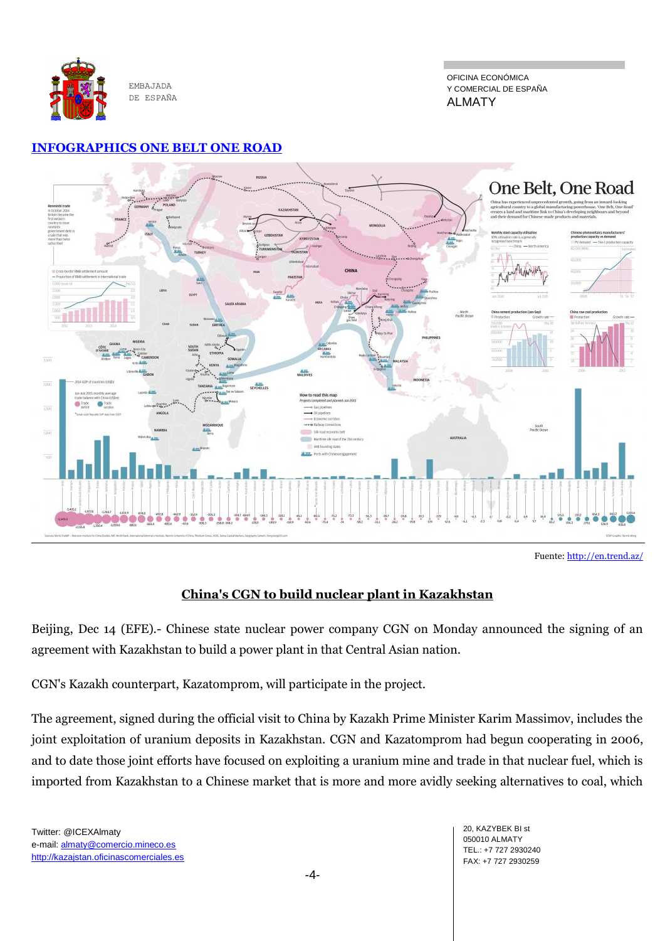

OFICINA ECONÓMICA Y COMERCIAL DE ESPAÑA ALMATY

#### **[INFOGRAPHICS ONE BELT ONE ROAD](http://www.scmp.com/infographics/article/1874865/infographic-one-belt-one-road?utm_source=&utm_medium=&utm_campaign=SCMPSocialNewsfeed)**



Fuente: <http://en.trend.az/>

## **China's CGN to build nuclear plant in Kazakhstan**

Beijing, Dec 14 (EFE).- Chinese state nuclear power company CGN on Monday announced the signing of an agreement with Kazakhstan to build a power plant in that Central Asian nation.

CGN's Kazakh counterpart, Kazatomprom, will participate in the project.

The agreement, signed during the official visit to China by Kazakh Prime Minister Karim Massimov, includes the joint exploitation of uranium deposits in Kazakhstan. CGN and Kazatomprom had begun cooperating in 2006, and to date those joint efforts have focused on exploiting a uranium mine and trade in that nuclear fuel, which is imported from Kazakhstan to a Chinese market that is more and more avidly seeking alternatives to coal, which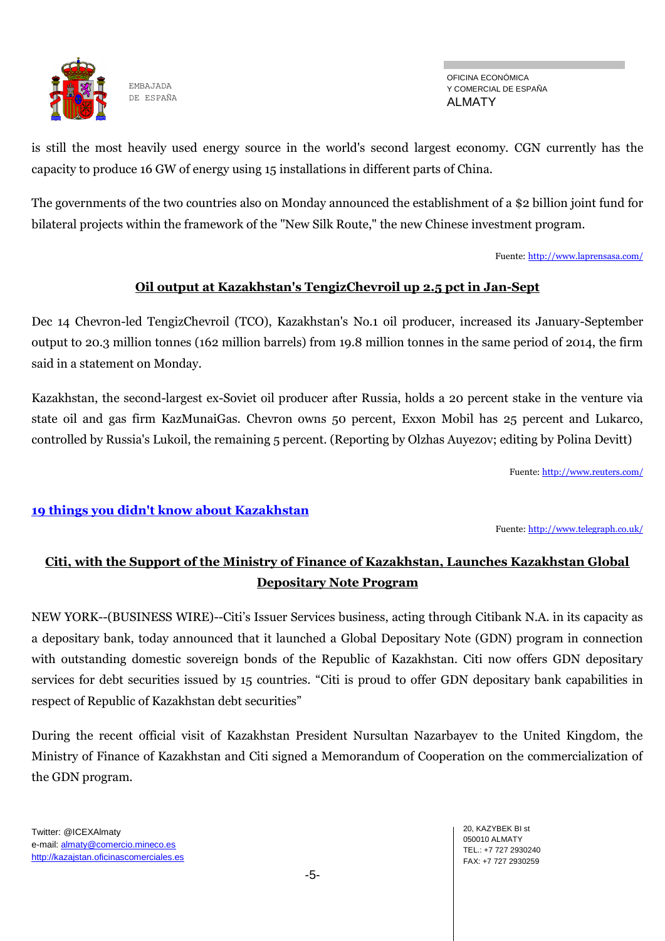

OFICINA ECONÓMICA Y COMERCIAL DE ESPAÑA ALMATY

is still the most heavily used energy source in the world's second largest economy. CGN currently has the capacity to produce 16 GW of energy using 15 installations in different parts of China.

The governments of the two countries also on Monday announced the establishment of a \$2 billion joint fund for bilateral projects within the framework of the "New Silk Route," the new Chinese investment program.

Fuente: <http://www.laprensasa.com/>

## **Oil output at Kazakhstan's TengizChevroil up 2.5 pct in Jan-Sept**

Dec 14 Chevron-led TengizChevroil (TCO), Kazakhstan's No.1 oil producer, increased its January-September output to 20.3 million tonnes (162 million barrels) from 19.8 million tonnes in the same period of 2014, the firm said in a statement on Monday.

Kazakhstan, the second-largest ex-Soviet oil producer after Russia, holds a 20 percent stake in the venture via state oil and gas firm KazMunaiGas. Chevron owns 50 percent, Exxon Mobil has 25 percent and Lukarco, controlled by Russia's Lukoil, the remaining 5 percent. (Reporting by Olzhas Auyezov; editing by Polina Devitt)

Fuente: <http://www.reuters.com/>

#### **[19 things you didn't know about Kazakhstan](http://www.telegraph.co.uk/travel/destinations/asia/kazakhstan/12050131/Amazing-things-you-didnt-know-about-Kazakhstan.html)**

Fuente: <http://www.telegraph.co.uk/>

## **Citi, with the Support of the Ministry of Finance of Kazakhstan, Launches Kazakhstan Global Depositary Note Program**

NEW YORK--(BUSINESS WIRE)--Citi's Issuer Services business, acting through Citibank N.A. in its capacity as a depositary bank, today announced that it launched a Global Depositary Note (GDN) program in connection with outstanding domestic sovereign bonds of the Republic of Kazakhstan. Citi now offers GDN depositary services for debt securities issued by 15 countries. "Citi is proud to offer GDN depositary bank capabilities in respect of Republic of Kazakhstan debt securities"

During the recent official visit of Kazakhstan President Nursultan Nazarbayev to the United Kingdom, the Ministry of Finance of Kazakhstan and Citi signed a Memorandum of Cooperation on the commercialization of the GDN program.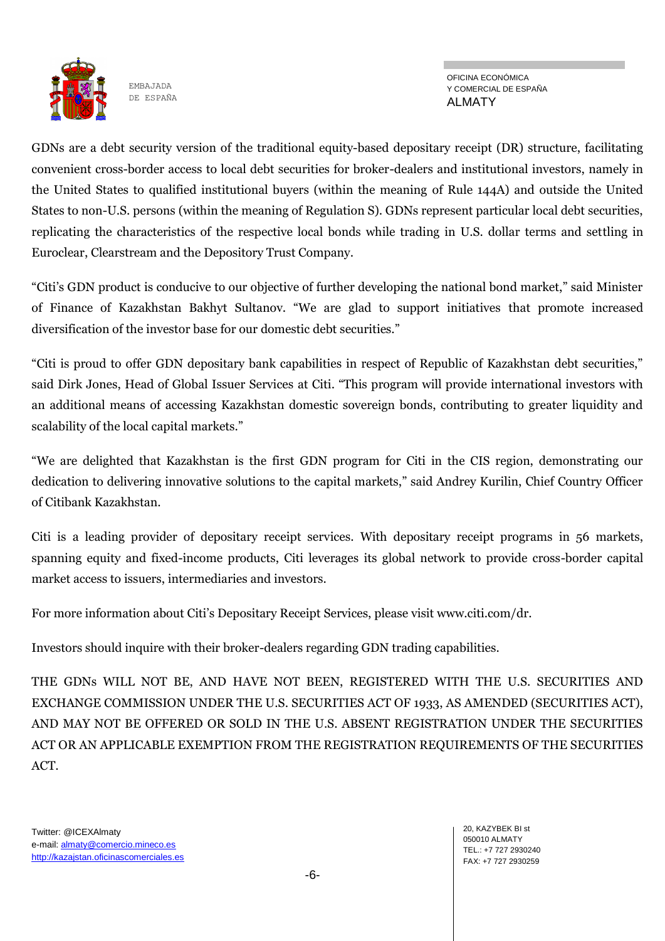

OFICINA ECONÓMICA Y COMERCIAL DE ESPAÑA ALMATY

GDNs are a debt security version of the traditional equity-based depositary receipt (DR) structure, facilitating convenient cross-border access to local debt securities for broker-dealers and institutional investors, namely in the United States to qualified institutional buyers (within the meaning of Rule 144A) and outside the United States to non-U.S. persons (within the meaning of Regulation S). GDNs represent particular local debt securities, replicating the characteristics of the respective local bonds while trading in U.S. dollar terms and settling in Euroclear, Clearstream and the Depository Trust Company.

"Citi's GDN product is conducive to our objective of further developing the national bond market," said Minister of Finance of Kazakhstan Bakhyt Sultanov. "We are glad to support initiatives that promote increased diversification of the investor base for our domestic debt securities."

"Citi is proud to offer GDN depositary bank capabilities in respect of Republic of Kazakhstan debt securities," said Dirk Jones, Head of Global Issuer Services at Citi. "This program will provide international investors with an additional means of accessing Kazakhstan domestic sovereign bonds, contributing to greater liquidity and scalability of the local capital markets."

"We are delighted that Kazakhstan is the first GDN program for Citi in the CIS region, demonstrating our dedication to delivering innovative solutions to the capital markets," said Andrey Kurilin, Chief Country Officer of Citibank Kazakhstan.

Citi is a leading provider of depositary receipt services. With depositary receipt programs in 56 markets, spanning equity and fixed-income products, Citi leverages its global network to provide cross-border capital market access to issuers, intermediaries and investors.

For more information about Citi's Depositary Receipt Services, please visit www.citi.com/dr.

Investors should inquire with their broker-dealers regarding GDN trading capabilities.

THE GDNs WILL NOT BE, AND HAVE NOT BEEN, REGISTERED WITH THE U.S. SECURITIES AND EXCHANGE COMMISSION UNDER THE U.S. SECURITIES ACT OF 1933, AS AMENDED (SECURITIES ACT), AND MAY NOT BE OFFERED OR SOLD IN THE U.S. ABSENT REGISTRATION UNDER THE SECURITIES ACT OR AN APPLICABLE EXEMPTION FROM THE REGISTRATION REQUIREMENTS OF THE SECURITIES ACT.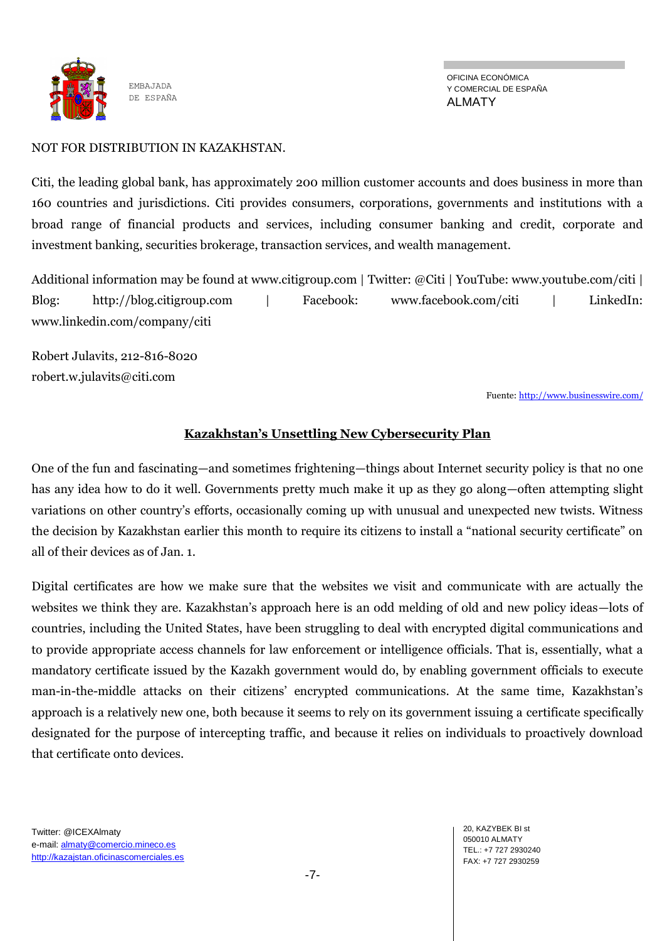

OFICINA ECONÓMICA Y COMERCIAL DE ESPAÑA ALMATY

#### NOT FOR DISTRIBUTION IN KAZAKHSTAN.

Citi, the leading global bank, has approximately 200 million customer accounts and does business in more than 160 countries and jurisdictions. Citi provides consumers, corporations, governments and institutions with a broad range of financial products and services, including consumer banking and credit, corporate and investment banking, securities brokerage, transaction services, and wealth management.

Additional information may be found at www.citigroup.com | Twitter: @Citi | YouTube: www.youtube.com/citi | Blog: http://blog.citigroup.com | Facebook: www.facebook.com/citi | LinkedIn: www.linkedin.com/company/citi

Robert Julavits, 212-816-8020 robert.w.julavits@citi.com

Fuente: <http://www.businesswire.com/>

#### **Kazakhstan's Unsettling New Cybersecurity Plan**

One of the fun and fascinating—and sometimes frightening—things about Internet security policy is that no one has any idea how to do it well. Governments pretty much make it up as they go along—often attempting slight variations on other country's efforts, occasionally coming up with unusual and unexpected new twists. Witness the decision by Kazakhstan earlier this month to require its citizens to install a "national security certificate" on all of their devices as of Jan. 1.

Digital certificates are how we make sure that the websites we visit and communicate with are actually the websites we think they are. Kazakhstan's approach here is an odd melding of old and new policy ideas—lots of countries, including the United States, have been struggling to deal with encrypted digital communications and to provide appropriate access channels for law enforcement or intelligence officials. That is, essentially, what a mandatory certificate issued by the Kazakh government would do, by enabling government officials to execute man-in-the-middle attacks on their citizens' encrypted communications. At the same time, Kazakhstan's approach is a relatively new one, both because it seems to rely on its government issuing a certificate specifically designated for the purpose of intercepting traffic, and because it relies on individuals to proactively download that certificate onto devices.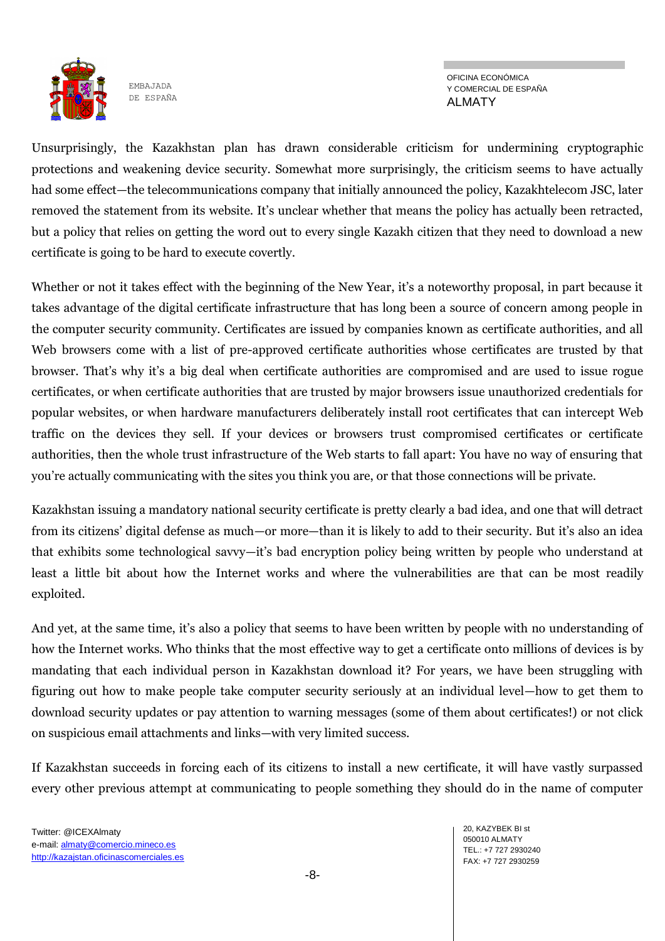

OFICINA ECONÓMICA Y COMERCIAL DE ESPAÑA ALMATY

Unsurprisingly, the Kazakhstan plan has drawn considerable criticism for undermining cryptographic protections and weakening device security. Somewhat more surprisingly, the criticism seems to have actually had some effect—the telecommunications company that initially announced the policy, Kazakhtelecom JSC, later removed the statement from its website. It's unclear whether that means the policy has actually been retracted, but a policy that relies on getting the word out to every single Kazakh citizen that they need to download a new certificate is going to be hard to execute covertly.

Whether or not it takes effect with the beginning of the New Year, it's a noteworthy proposal, in part because it takes advantage of the digital certificate infrastructure that has long been a source of concern among people in the computer security community. Certificates are issued by companies known as certificate authorities, and all Web browsers come with a list of pre-approved certificate authorities whose certificates are trusted by that browser. That's why it's a big deal when certificate authorities are compromised and are used to issue rogue certificates, or when certificate authorities that are trusted by major browsers issue unauthorized credentials for popular websites, or when hardware manufacturers deliberately install root certificates that can intercept Web traffic on the devices they sell. If your devices or browsers trust compromised certificates or certificate authorities, then the whole trust infrastructure of the Web starts to fall apart: You have no way of ensuring that you're actually communicating with the sites you think you are, or that those connections will be private.

Kazakhstan issuing a mandatory national security certificate is pretty clearly a bad idea, and one that will detract from its citizens' digital defense as much—or more—than it is likely to add to their security. But it's also an idea that exhibits some technological savvy—it's bad encryption policy being written by people who understand at least a little bit about how the Internet works and where the vulnerabilities are that can be most readily exploited.

And yet, at the same time, it's also a policy that seems to have been written by people with no understanding of how the Internet works. Who thinks that the most effective way to get a certificate onto millions of devices is by mandating that each individual person in Kazakhstan download it? For years, we have been struggling with figuring out how to make people take computer security seriously at an individual level—how to get them to download security updates or pay attention to warning messages (some of them about certificates!) or not click on suspicious email attachments and links—with very limited success.

If Kazakhstan succeeds in forcing each of its citizens to install a new certificate, it will have vastly surpassed every other previous attempt at communicating to people something they should do in the name of computer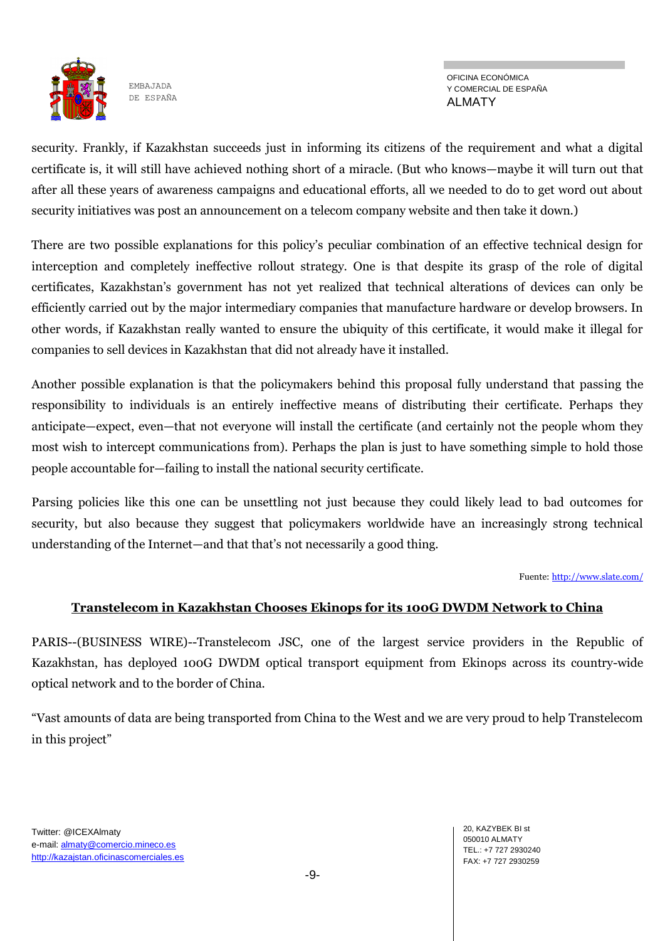

OFICINA ECONÓMICA Y COMERCIAL DE ESPAÑA ALMATY

security. Frankly, if Kazakhstan succeeds just in informing its citizens of the requirement and what a digital certificate is, it will still have achieved nothing short of a miracle. (But who knows—maybe it will turn out that after all these years of awareness campaigns and educational efforts, all we needed to do to get word out about security initiatives was post an announcement on a telecom company website and then take it down.)

There are two possible explanations for this policy's peculiar combination of an effective technical design for interception and completely ineffective rollout strategy. One is that despite its grasp of the role of digital certificates, Kazakhstan's government has not yet realized that technical alterations of devices can only be efficiently carried out by the major intermediary companies that manufacture hardware or develop browsers. In other words, if Kazakhstan really wanted to ensure the ubiquity of this certificate, it would make it illegal for companies to sell devices in Kazakhstan that did not already have it installed.

Another possible explanation is that the policymakers behind this proposal fully understand that passing the responsibility to individuals is an entirely ineffective means of distributing their certificate. Perhaps they anticipate—expect, even—that not everyone will install the certificate (and certainly not the people whom they most wish to intercept communications from). Perhaps the plan is just to have something simple to hold those people accountable for—failing to install the national security certificate.

Parsing policies like this one can be unsettling not just because they could likely lead to bad outcomes for security, but also because they suggest that policymakers worldwide have an increasingly strong technical understanding of the Internet—and that that's not necessarily a good thing.

Fuente: <http://www.slate.com/>

#### **Transtelecom in Kazakhstan Chooses Ekinops for its 100G DWDM Network to China**

PARIS--(BUSINESS WIRE)--Transtelecom JSC, one of the largest service providers in the Republic of Kazakhstan, has deployed 100G DWDM optical transport equipment from Ekinops across its country-wide optical network and to the border of China.

"Vast amounts of data are being transported from China to the West and we are very proud to help Transtelecom in this project"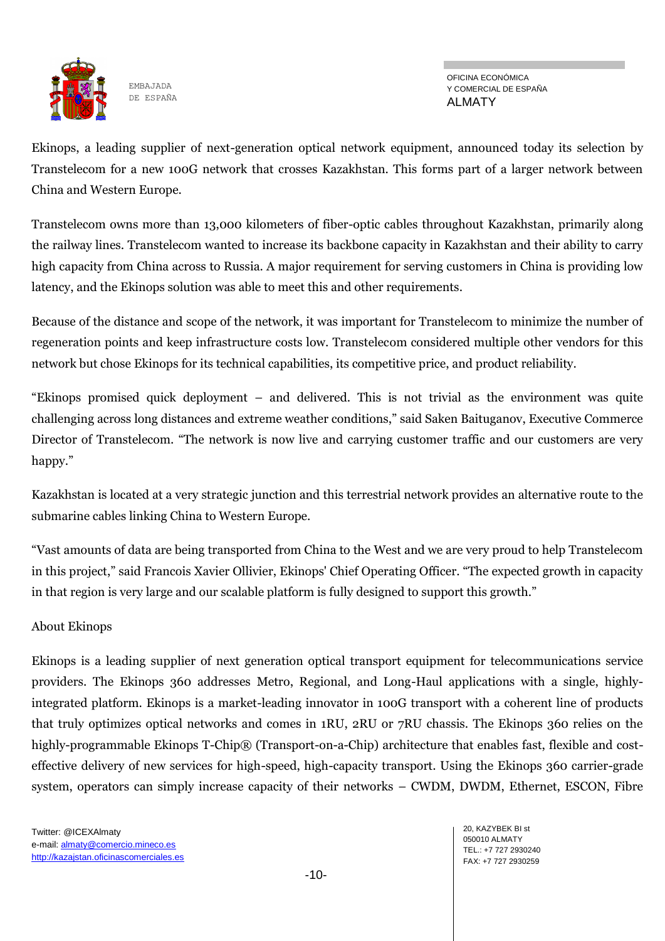

OFICINA ECONÓMICA Y COMERCIAL DE ESPAÑA ALMATY

Ekinops, a leading supplier of next-generation optical network equipment, announced today its selection by Transtelecom for a new 100G network that crosses Kazakhstan. This forms part of a larger network between China and Western Europe.

Transtelecom owns more than 13,000 kilometers of fiber-optic cables throughout Kazakhstan, primarily along the railway lines. Transtelecom wanted to increase its backbone capacity in Kazakhstan and their ability to carry high capacity from China across to Russia. A major requirement for serving customers in China is providing low latency, and the Ekinops solution was able to meet this and other requirements.

Because of the distance and scope of the network, it was important for Transtelecom to minimize the number of regeneration points and keep infrastructure costs low. Transtelecom considered multiple other vendors for this network but chose Ekinops for its technical capabilities, its competitive price, and product reliability.

"Ekinops promised quick deployment – and delivered. This is not trivial as the environment was quite challenging across long distances and extreme weather conditions," said Saken Baituganov, Executive Commerce Director of Transtelecom. "The network is now live and carrying customer traffic and our customers are very happy."

Kazakhstan is located at a very strategic junction and this terrestrial network provides an alternative route to the submarine cables linking China to Western Europe.

"Vast amounts of data are being transported from China to the West and we are very proud to help Transtelecom in this project," said Francois Xavier Ollivier, Ekinops' Chief Operating Officer. "The expected growth in capacity in that region is very large and our scalable platform is fully designed to support this growth."

#### About Ekinops

Ekinops is a leading supplier of next generation optical transport equipment for telecommunications service providers. The Ekinops 360 addresses Metro, Regional, and Long-Haul applications with a single, highlyintegrated platform. Ekinops is a market-leading innovator in 100G transport with a coherent line of products that truly optimizes optical networks and comes in 1RU, 2RU or 7RU chassis. The Ekinops 360 relies on the highly-programmable Ekinops T-Chip® (Transport-on-a-Chip) architecture that enables fast, flexible and costeffective delivery of new services for high-speed, high-capacity transport. Using the Ekinops 360 carrier-grade system, operators can simply increase capacity of their networks – CWDM, DWDM, Ethernet, ESCON, Fibre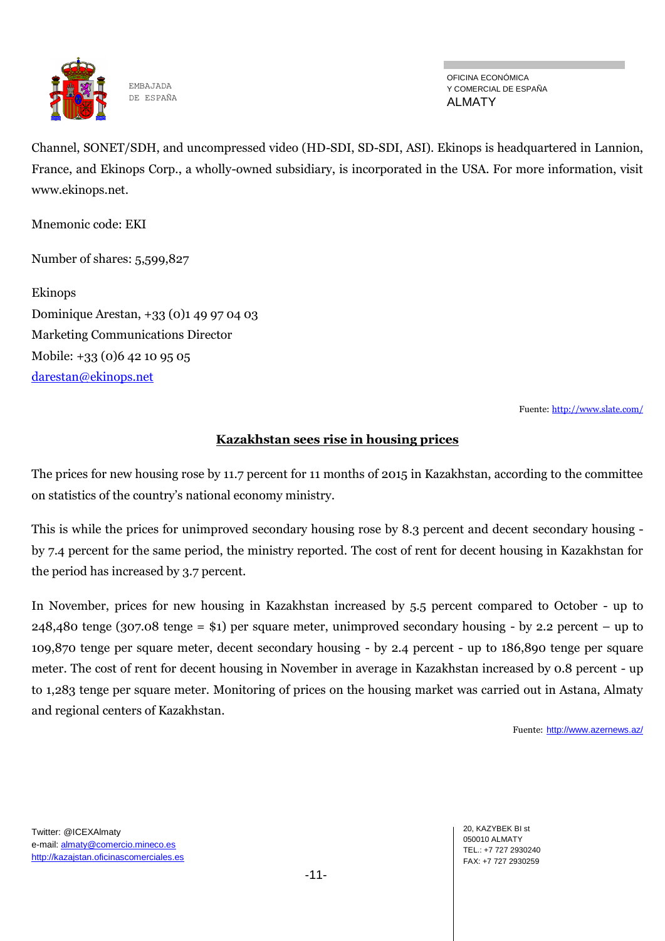

OFICINA ECONÓMICA Y COMERCIAL DE ESPAÑA ALMATY

Channel, SONET/SDH, and uncompressed video (HD-SDI, SD-SDI, ASI). Ekinops is headquartered in Lannion, France, and Ekinops Corp., a wholly-owned subsidiary, is incorporated in the USA. For more information, visit www.ekinops.net.

Mnemonic code: EKI

Number of shares: 5,599,827

Ekinops Dominique Arestan, +33 (0)1 49 97 04 03 Marketing Communications Director Mobile: +33 (0)6 42 10 95 05 [darestan@ekinops.net](mailto:darestan@ekinops.net)

Fuente: <http://www.slate.com/>

#### **Kazakhstan sees rise in housing prices**

The prices for new housing rose by 11.7 percent for 11 months of 2015 in Kazakhstan, according to the committee on statistics of the country's national economy ministry.

This is while the prices for unimproved secondary housing rose by 8.3 percent and decent secondary housing by 7.4 percent for the same period, the ministry reported. The cost of rent for decent housing in Kazakhstan for the period has increased by 3.7 percent.

In November, prices for new housing in Kazakhstan increased by 5.5 percent compared to October - up to 248,480 tenge (307.08 tenge = \$1) per square meter, unimproved secondary housing - by 2.2 percent – up to 109,870 tenge per square meter, decent secondary housing - by 2.4 percent - up to 186,890 tenge per square meter. The cost of rent for decent housing in November in average in Kazakhstan increased by 0.8 percent - up to 1,283 tenge per square meter. Monitoring of prices on the housing market was carried out in Astana, Almaty and regional centers of Kazakhstan.

Fuente: <http://www.azernews.az/>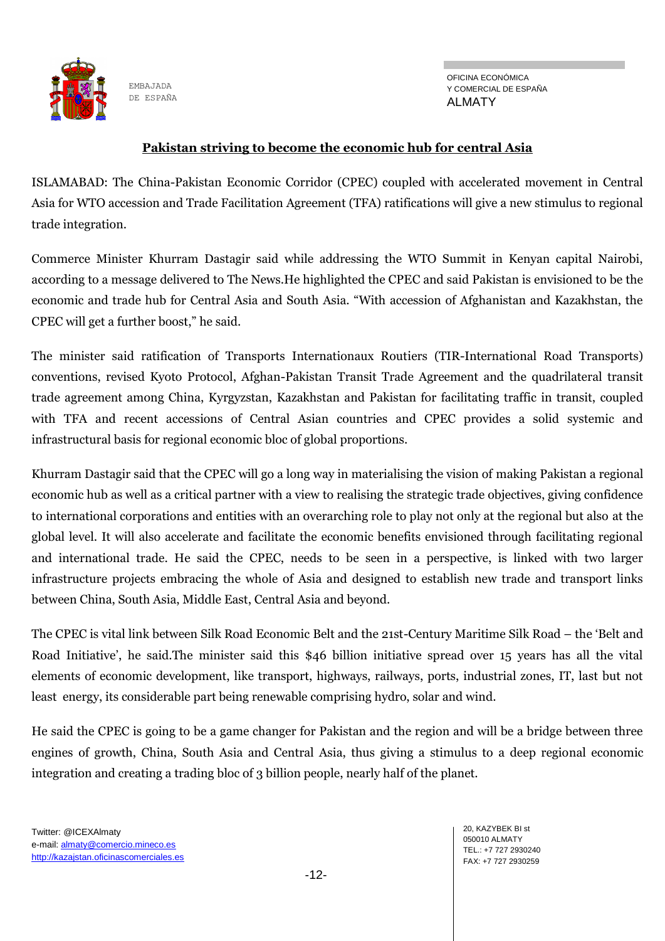

OFICINA ECONÓMICA Y COMERCIAL DE ESPAÑA ALMATY

#### **Pakistan striving to become the economic hub for central Asia**

ISLAMABAD: The China-Pakistan Economic Corridor (CPEC) coupled with accelerated movement in Central Asia for WTO accession and Trade Facilitation Agreement (TFA) ratifications will give a new stimulus to regional trade integration.

Commerce Minister Khurram Dastagir said while addressing the WTO Summit in Kenyan capital Nairobi, according to a message delivered to The News.He highlighted the CPEC and said Pakistan is envisioned to be the economic and trade hub for Central Asia and South Asia. "With accession of Afghanistan and Kazakhstan, the CPEC will get a further boost," he said.

The minister said ratification of Transports Internationaux Routiers (TIR-International Road Transports) conventions, revised Kyoto Protocol, Afghan-Pakistan Transit Trade Agreement and the quadrilateral transit trade agreement among China, Kyrgyzstan, Kazakhstan and Pakistan for facilitating traffic in transit, coupled with TFA and recent accessions of Central Asian countries and CPEC provides a solid systemic and infrastructural basis for regional economic bloc of global proportions.

Khurram Dastagir said that the CPEC will go a long way in materialising the vision of making Pakistan a regional economic hub as well as a critical partner with a view to realising the strategic trade objectives, giving confidence to international corporations and entities with an overarching role to play not only at the regional but also at the global level. It will also accelerate and facilitate the economic benefits envisioned through facilitating regional and international trade. He said the CPEC, needs to be seen in a perspective, is linked with two larger infrastructure projects embracing the whole of Asia and designed to establish new trade and transport links between China, South Asia, Middle East, Central Asia and beyond.

The CPEC is vital link between Silk Road Economic Belt and the 21st-Century Maritime Silk Road – the 'Belt and Road Initiative', he said.The minister said this \$46 billion initiative spread over 15 years has all the vital elements of economic development, like transport, highways, railways, ports, industrial zones, IT, last but not least energy, its considerable part being renewable comprising hydro, solar and wind.

He said the CPEC is going to be a game changer for Pakistan and the region and will be a bridge between three engines of growth, China, South Asia and Central Asia, thus giving a stimulus to a deep regional economic integration and creating a trading bloc of 3 billion people, nearly half of the planet.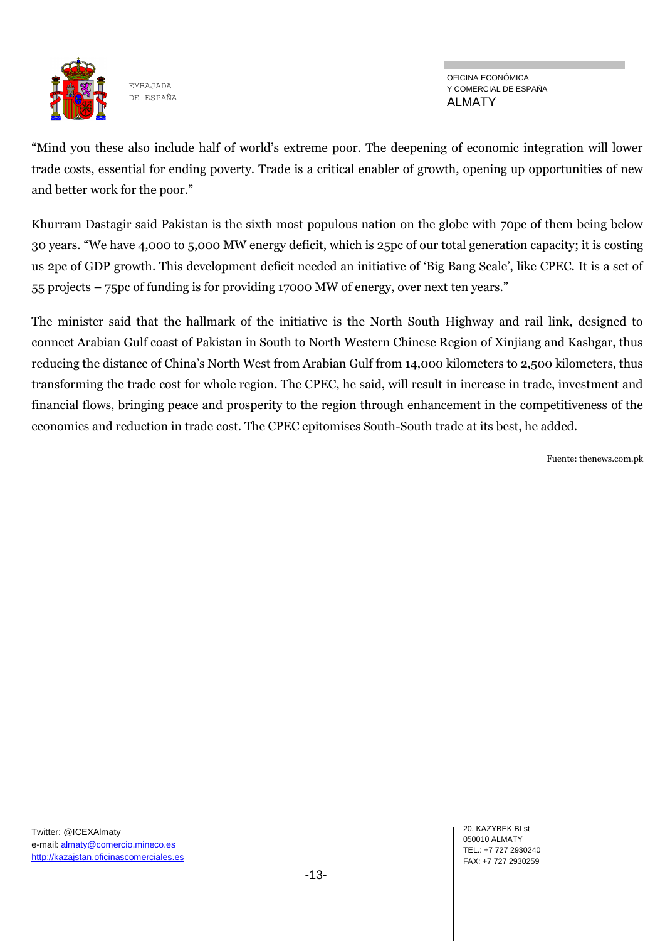

OFICINA ECONÓMICA Y COMERCIAL DE ESPAÑA ALMATY

"Mind you these also include half of world's extreme poor. The deepening of economic integration will lower trade costs, essential for ending poverty. Trade is a critical enabler of growth, opening up opportunities of new and better work for the poor."

Khurram Dastagir said Pakistan is the sixth most populous nation on the globe with 70pc of them being below 30 years. "We have 4,000 to 5,000 MW energy deficit, which is 25pc of our total generation capacity; it is costing us 2pc of GDP growth. This development deficit needed an initiative of 'Big Bang Scale', like CPEC. It is a set of 55 projects – 75pc of funding is for providing 17000 MW of energy, over next ten years."

The minister said that the hallmark of the initiative is the North South Highway and rail link, designed to connect Arabian Gulf coast of Pakistan in South to North Western Chinese Region of Xinjiang and Kashgar, thus reducing the distance of China's North West from Arabian Gulf from 14,000 kilometers to 2,500 kilometers, thus transforming the trade cost for whole region. The CPEC, he said, will result in increase in trade, investment and financial flows, bringing peace and prosperity to the region through enhancement in the competitiveness of the economies and reduction in trade cost. The CPEC epitomises South-South trade at its best, he added.

Fuente: thenews.com.pk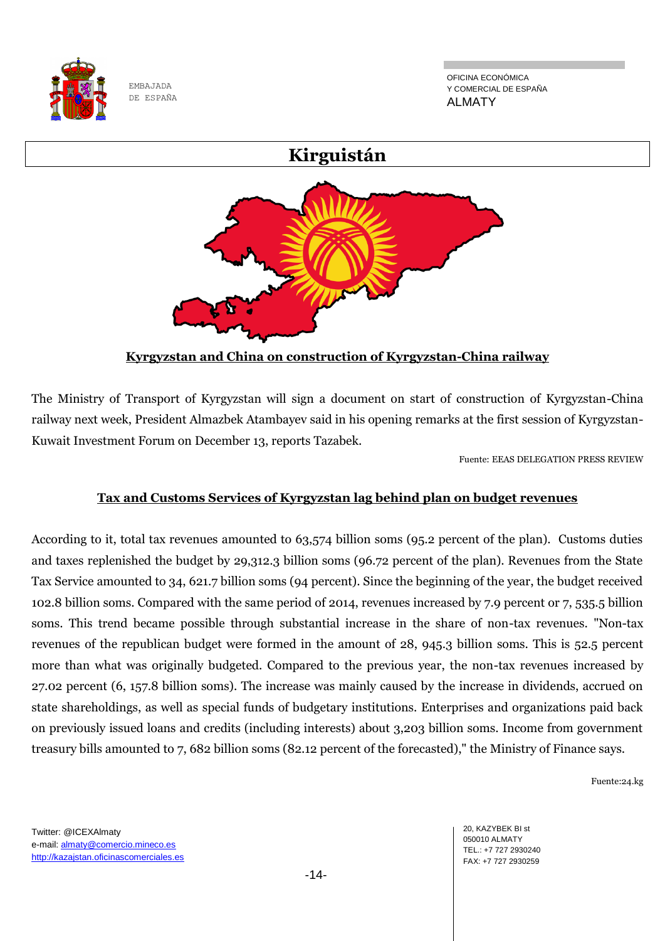

OFICINA ECONÓMICA Y COMERCIAL DE ESPAÑA ALMATY



The Ministry of Transport of Kyrgyzstan will sign a document on start of construction of Kyrgyzstan-China railway next week, President Almazbek Atambayev said in his opening remarks at the first session of Kyrgyzstan-Kuwait Investment Forum on December 13, reports Tazabek.

Fuente: EEAS DELEGATION PRESS REVIEW

## **Tax and Customs Services of Kyrgyzstan lag behind plan on budget revenues**

According to it, total tax revenues amounted to 63,574 billion soms (95.2 percent of the plan). Customs duties and taxes replenished the budget by 29,312.3 billion soms (96.72 percent of the plan). Revenues from the State Tax Service amounted to 34, 621.7 billion soms (94 percent). Since the beginning of the year, the budget received 102.8 billion soms. Compared with the same period of 2014, revenues increased by 7.9 percent or 7, 535.5 billion soms. This trend became possible through substantial increase in the share of non-tax revenues. "Non-tax revenues of the republican budget were formed in the amount of 28, 945.3 billion soms. This is 52.5 percent more than what was originally budgeted. Compared to the previous year, the non-tax revenues increased by 27.02 percent (6, 157.8 billion soms). The increase was mainly caused by the increase in dividends, accrued on state shareholdings, as well as special funds of budgetary institutions. Enterprises and organizations paid back on previously issued loans and credits (including interests) about 3,203 billion soms. Income from government treasury bills amounted to 7, 682 billion soms (82.12 percent of the forecasted)," the Ministry of Finance says.

Fuente:24.kg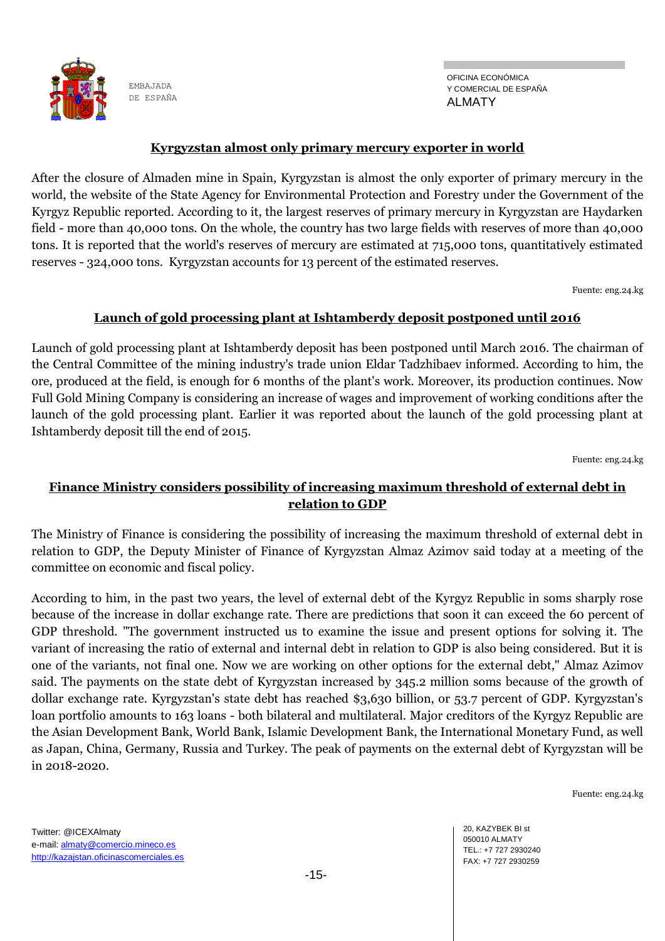

OFICINA ECONÓMICA Y COMERCIAL DE ESPAÑA ALMATY

#### **Kyrgyzstan almost only primary mercury exporter in world**

After the closure of Almaden mine in Spain, Kyrgyzstan is almost the only exporter of primary mercury in the world, the website of the State Agency for Environmental Protection and Forestry under the Government of the Kyrgyz Republic reported. According to it, the largest reserves of primary mercury in Kyrgyzstan are Haydarken field - more than 40,000 tons. On the whole, the country has two large fields with reserves of more than 40,000 tons. It is reported that the world's reserves of mercury are estimated at 715,000 tons, quantitatively estimated reserves - 324,000 tons. Kyrgyzstan accounts for 13 percent of the estimated reserves.

Fuente: eng.24.kg

#### **Launch of gold processing plant at Ishtamberdy deposit postponed until 2016**

Launch of gold processing plant at Ishtamberdy deposit has been postponed until March 2016. The chairman of the Central Committee of the mining industry's trade union Eldar Tadzhibaev informed. According to him, the ore, produced at the field, is enough for 6 months of the plant's work. Moreover, its production continues. Now Full Gold Mining Company is considering an increase of wages and improvement of working conditions after the launch of the gold processing plant. Earlier it was reported about the launch of the gold processing plant at Ishtamberdy deposit till the end of 2015.

Fuente: eng.24.kg

### **Finance Ministry considers possibility of increasing maximum threshold of external debt in relation to GDP**

The Ministry of Finance is considering the possibility of increasing the maximum threshold of external debt in relation to GDP, the Deputy Minister of Finance of Kyrgyzstan Almaz Azimov said today at a meeting of the committee on economic and fiscal policy.

According to him, in the past two years, the level of external debt of the Kyrgyz Republic in soms sharply rose because of the increase in dollar exchange rate. There are predictions that soon it can exceed the 60 percent of GDP threshold. "The government instructed us to examine the issue and present options for solving it. The variant of increasing the ratio of external and internal debt in relation to GDP is also being considered. But it is one of the variants, not final one. Now we are working on other options for the external debt," Almaz Azimov said. The payments on the state debt of Kyrgyzstan increased by 345.2 million soms because of the growth of dollar exchange rate. Kyrgyzstan's state debt has reached \$3,630 billion, or 53.7 percent of GDP. Kyrgyzstan's loan portfolio amounts to 163 loans - both bilateral and multilateral. Major creditors of the Kyrgyz Republic are the Asian Development Bank, World Bank, Islamic Development Bank, the International Monetary Fund, as well as Japan, China, Germany, Russia and Turkey. The peak of payments on the external debt of Kyrgyzstan will be in 2018-2020.

Fuente: eng.24.kg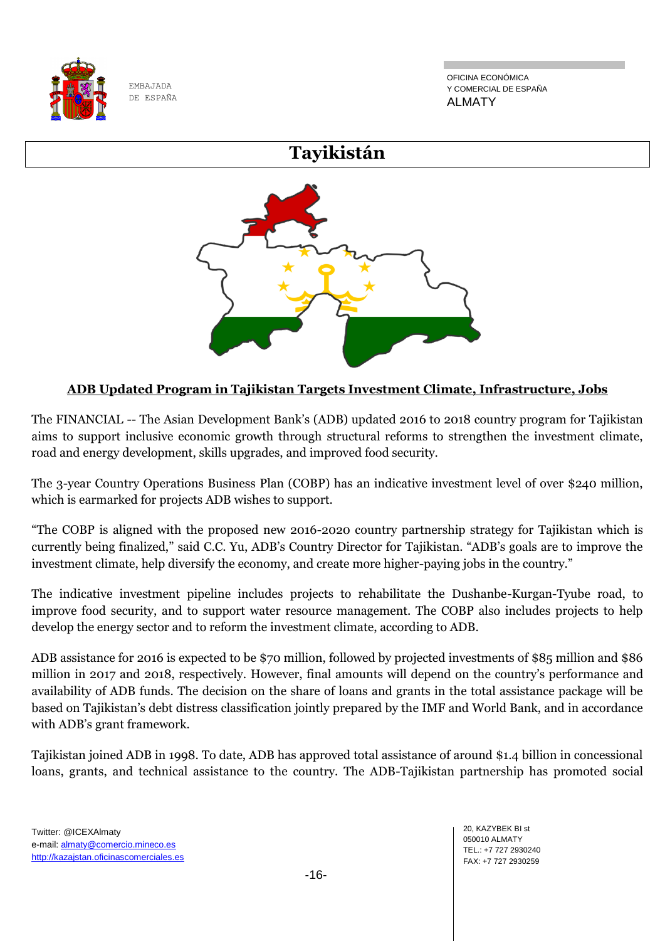

OFICINA ECONÓMICA Y COMERCIAL DE ESPAÑA ALMATY

# **Tayikistán**



## **ADB Updated Program in Tajikistan Targets Investment Climate, Infrastructure, Jobs**

The FINANCIAL -- The Asian Development Bank's (ADB) updated 2016 to 2018 country program for Tajikistan aims to support inclusive economic growth through structural reforms to strengthen the investment climate, road and energy development, skills upgrades, and improved food security.

The 3-year Country Operations Business Plan (COBP) has an indicative investment level of over \$240 million, which is earmarked for projects ADB wishes to support.

"The COBP is aligned with the proposed new 2016-2020 country partnership strategy for Tajikistan which is currently being finalized," said C.C. Yu, ADB's Country Director for Tajikistan. "ADB's goals are to improve the investment climate, help diversify the economy, and create more higher-paying jobs in the country."

The indicative investment pipeline includes projects to rehabilitate the Dushanbe-Kurgan-Tyube road, to improve food security, and to support water resource management. The COBP also includes projects to help develop the energy sector and to reform the investment climate, according to ADB.

ADB assistance for 2016 is expected to be \$70 million, followed by projected investments of \$85 million and \$86 million in 2017 and 2018, respectively. However, final amounts will depend on the country's performance and availability of ADB funds. The decision on the share of loans and grants in the total assistance package will be based on Tajikistan's debt distress classification jointly prepared by the IMF and World Bank, and in accordance with ADB's grant framework.

Tajikistan joined ADB in 1998. To date, ADB has approved total assistance of around \$1.4 billion in concessional loans, grants, and technical assistance to the country. The ADB-Tajikistan partnership has promoted social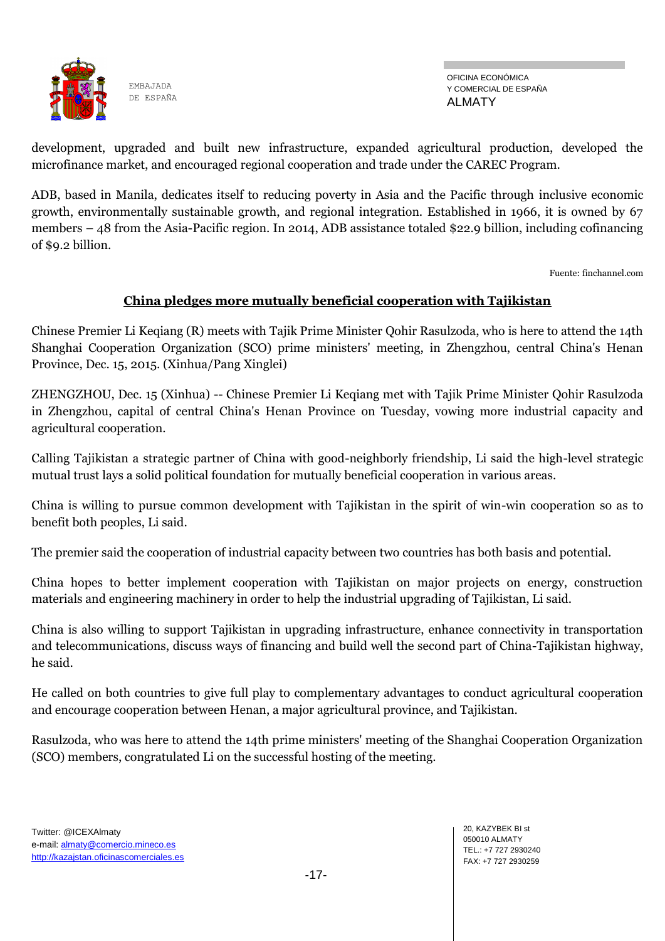

OFICINA ECONÓMICA Y COMERCIAL DE ESPAÑA ALMATY

development, upgraded and built new infrastructure, expanded agricultural production, developed the microfinance market, and encouraged regional cooperation and trade under the CAREC Program.

ADB, based in Manila, dedicates itself to reducing poverty in Asia and the Pacific through inclusive economic growth, environmentally sustainable growth, and regional integration. Established in 1966, it is owned by 67 members – 48 from the Asia-Pacific region. In 2014, ADB assistance totaled \$22.9 billion, including cofinancing of \$9.2 billion.

Fuente: finchannel.com

## **China pledges more mutually beneficial cooperation with Tajikistan**

Chinese Premier Li Keqiang (R) meets with Tajik Prime Minister Qohir Rasulzoda, who is here to attend the 14th Shanghai Cooperation Organization (SCO) prime ministers' meeting, in Zhengzhou, central China's Henan Province, Dec. 15, 2015. (Xinhua/Pang Xinglei)

ZHENGZHOU, Dec. 15 (Xinhua) -- Chinese Premier Li Keqiang met with Tajik Prime Minister Qohir Rasulzoda in Zhengzhou, capital of central China's Henan Province on Tuesday, vowing more industrial capacity and agricultural cooperation.

Calling Tajikistan a strategic partner of China with good-neighborly friendship, Li said the high-level strategic mutual trust lays a solid political foundation for mutually beneficial cooperation in various areas.

China is willing to pursue common development with Tajikistan in the spirit of win-win cooperation so as to benefit both peoples, Li said.

The premier said the cooperation of industrial capacity between two countries has both basis and potential.

China hopes to better implement cooperation with Tajikistan on major projects on energy, construction materials and engineering machinery in order to help the industrial upgrading of Tajikistan, Li said.

China is also willing to support Tajikistan in upgrading infrastructure, enhance connectivity in transportation and telecommunications, discuss ways of financing and build well the second part of China-Tajikistan highway, he said.

He called on both countries to give full play to complementary advantages to conduct agricultural cooperation and encourage cooperation between Henan, a major agricultural province, and Tajikistan.

Rasulzoda, who was here to attend the 14th prime ministers' meeting of the Shanghai Cooperation Organization (SCO) members, congratulated Li on the successful hosting of the meeting.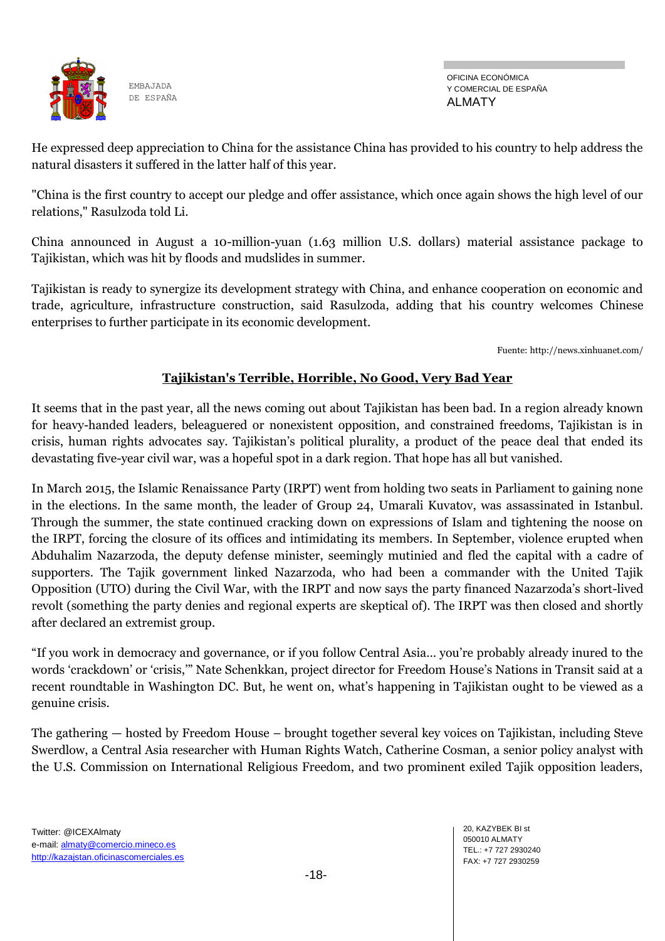

OFICINA ECONÓMICA Y COMERCIAL DE ESPAÑA ALMATY

He expressed deep appreciation to China for the assistance China has provided to his country to help address the natural disasters it suffered in the latter half of this year.

"China is the first country to accept our pledge and offer assistance, which once again shows the high level of our relations," Rasulzoda told Li.

China announced in August a 10-million-yuan (1.63 million U.S. dollars) material assistance package to Tajikistan, which was hit by floods and mudslides in summer.

Tajikistan is ready to synergize its development strategy with China, and enhance cooperation on economic and trade, agriculture, infrastructure construction, said Rasulzoda, adding that his country welcomes Chinese enterprises to further participate in its economic development.

Fuente: http://news.xinhuanet.com/

## **Tajikistan's Terrible, Horrible, No Good, Very Bad Year**

It seems that in the past year, all the news coming out about Tajikistan has been bad. In a region already known for heavy-handed leaders, beleaguered or nonexistent opposition, and constrained freedoms, Tajikistan is in crisis, human rights advocates say. Tajikistan's political plurality, a product of the peace deal that ended its devastating five-year civil war, was a hopeful spot in a dark region. That hope has all but vanished.

In March 2015, the Islamic Renaissance Party (IRPT) went from holding two seats in Parliament to gaining none in the elections. In the same month, the leader of Group 24, Umarali Kuvatov, was assassinated in Istanbul. Through the summer, the state continued cracking down on expressions of Islam and tightening the noose on the IRPT, forcing the closure of its offices and intimidating its members. In September, violence erupted when Abduhalim Nazarzoda, the deputy defense minister, seemingly mutinied and fled the capital with a cadre of supporters. The Tajik government linked Nazarzoda, who had been a commander with the United Tajik Opposition (UTO) during the Civil War, with the IRPT and now says the party financed Nazarzoda's short-lived revolt (something the party denies and regional experts are skeptical of). The IRPT was then closed and shortly after declared an extremist group.

"If you work in democracy and governance, or if you follow Central Asia… you're probably already inured to the words 'crackdown' or 'crisis,'" Nate Schenkkan, project director for Freedom House's Nations in Transit said at a recent roundtable in Washington DC. But, he went on, what's happening in Tajikistan ought to be viewed as a genuine crisis.

The gathering — hosted by Freedom House – brought together several key voices on Tajikistan, including Steve Swerdlow, a Central Asia researcher with Human Rights Watch, Catherine Cosman, a senior policy analyst with the U.S. Commission on International Religious Freedom, and two prominent exiled Tajik opposition leaders,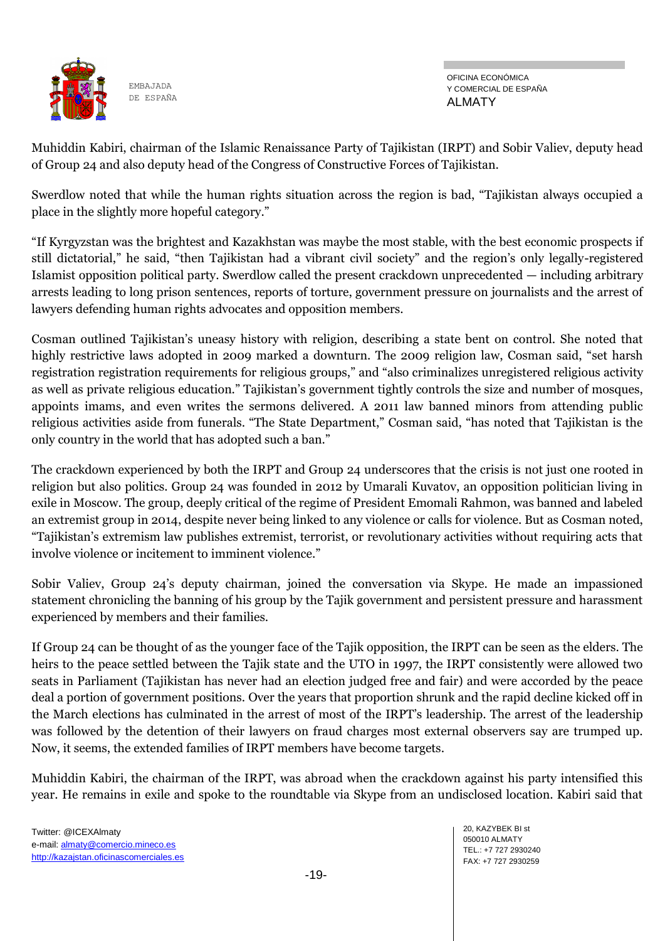

OFICINA ECONÓMICA Y COMERCIAL DE ESPAÑA ALMATY

Muhiddin Kabiri, chairman of the Islamic Renaissance Party of Tajikistan (IRPT) and Sobir Valiev, deputy head of Group 24 and also deputy head of the Congress of Constructive Forces of Tajikistan.

Swerdlow noted that while the human rights situation across the region is bad, "Tajikistan always occupied a place in the slightly more hopeful category."

"If Kyrgyzstan was the brightest and Kazakhstan was maybe the most stable, with the best economic prospects if still dictatorial," he said, "then Tajikistan had a vibrant civil society" and the region's only legally-registered Islamist opposition political party. Swerdlow called the present crackdown unprecedented — including arbitrary arrests leading to long prison sentences, reports of torture, government pressure on journalists and the arrest of lawyers defending human rights advocates and opposition members.

Cosman outlined Tajikistan's uneasy history with religion, describing a state bent on control. She noted that highly restrictive laws adopted in 2009 marked a downturn. The 2009 religion law, Cosman said, "set harsh registration registration requirements for religious groups," and "also criminalizes unregistered religious activity as well as private religious education." Tajikistan's government tightly controls the size and number of mosques, appoints imams, and even writes the sermons delivered. A 2011 law banned minors from attending public religious activities aside from funerals. "The State Department," Cosman said, "has noted that Tajikistan is the only country in the world that has adopted such a ban."

The crackdown experienced by both the IRPT and Group 24 underscores that the crisis is not just one rooted in religion but also politics. Group 24 was founded in 2012 by Umarali Kuvatov, an opposition politician living in exile in Moscow. The group, deeply critical of the regime of President Emomali Rahmon, was banned and labeled an extremist group in 2014, despite never being linked to any violence or calls for violence. But as Cosman noted, "Tajikistan's extremism law publishes extremist, terrorist, or revolutionary activities without requiring acts that involve violence or incitement to imminent violence."

Sobir Valiev, Group 24's deputy chairman, joined the conversation via Skype. He made an impassioned statement chronicling the banning of his group by the Tajik government and persistent pressure and harassment experienced by members and their families.

If Group 24 can be thought of as the younger face of the Tajik opposition, the IRPT can be seen as the elders. The heirs to the peace settled between the Tajik state and the UTO in 1997, the IRPT consistently were allowed two seats in Parliament (Tajikistan has never had an election judged free and fair) and were accorded by the peace deal a portion of government positions. Over the years that proportion shrunk and the rapid decline kicked off in the March elections has culminated in the arrest of most of the IRPT's leadership. The arrest of the leadership was followed by the detention of their lawyers on fraud charges most external observers say are trumped up. Now, it seems, the extended families of IRPT members have become targets.

Muhiddin Kabiri, the chairman of the IRPT, was abroad when the crackdown against his party intensified this year. He remains in exile and spoke to the roundtable via Skype from an undisclosed location. Kabiri said that